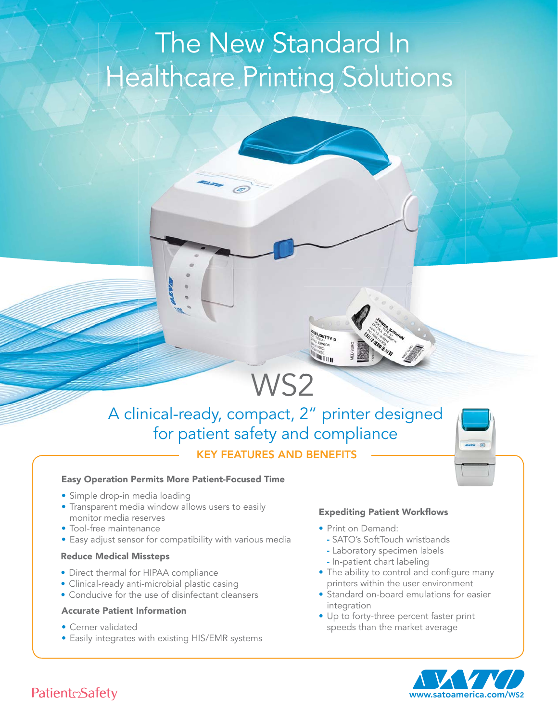# The New Standard In **Healthcare Printing Solutions**

# WS2

ES, BETTY D

**INTII** 

## A clinical-ready, compact, 2" printer designed for patient safety and compliance **KEY FEATURES AND BENEFITS**

#### **Easy Operation Permits More Patient-Focused Time**

- · Simple drop-in media loading
- Transparent media window allows users to easily monitor media reserves
- Tool-free maintenance
- Easy adjust sensor for compatibility with various media

#### **Reduce Medical Missteps**

- Direct thermal for HIPAA compliance
- · Clinical-ready anti-microbial plastic casing
- Conducive for the use of disinfectant cleansers

#### **Accurate Patient Information**

- Cerner validated
- Easily integrates with existing HIS/EMR systems

#### **Expediting Patient Workflows**

- Print on Demand:
	- SATO's SoftTouch wristbands
- Laboratory specimen labels
- In-patient chart labeling
- The ability to control and configure many printers within the user environment
- Standard on-board emulations for easier integration
- Up to forty-three percent faster print speeds than the market average



### PatientoSafety